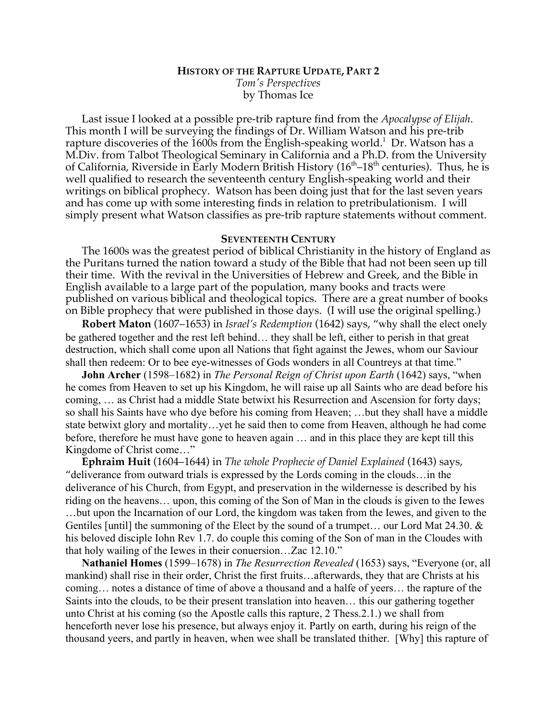## **HISTORY OF THE RAPTURE UPDATE, PART 2** *Tom's Perspectives* by Thomas Ice

Last issue I looked at a possible pre-trib rapture find from the *Apocalypse of Elijah*. This month I will be surveying the findings of Dr. William Watson and his pre-trib rapture discoveries of the  $160\bar{0}$ s from the English-speaking world. $^1\,$  Dr. Watson has a M.Div. from Talbot Theological Seminary in California and a Ph.D. from the University of California, Riverside in Early Modern British History  $(16<sup>th</sup>-18<sup>th</sup>$  centuries). Thus, he is well qualified to research the seventeenth century English-speaking world and their writings on biblical prophecy. Watson has been doing just that for the last seven years and has come up with some interesting finds in relation to pretribulationism. I will simply present what Watson classifies as pre-trib rapture statements without comment.

## **SEVENTEENTH CENTURY**

The 1600s was the greatest period of biblical Christianity in the history of England as the Puritans turned the nation toward a study of the Bible that had not been seen up till their time. With the revival in the Universities of Hebrew and Greek, and the Bible in English available to a large part of the population, many books and tracts were published on various biblical and theological topics. There are a great number of books on Bible prophecy that were published in those days. (I will use the original spelling.)

**Robert Maton** (1607–1653) in *Israel's Redemption* (1642) says, "why shall the elect onely be gathered together and the rest left behind… they shall be left, either to perish in that great destruction, which shall come upon all Nations that fight against the Jewes, whom our Saviour shall then redeem: Or to bee eye-witnesses of Gods wonders in all Countreys at that time."

**John Archer** (1598–1682) in *The Personal Reign of Christ upon Earth* (1642) says, "when he comes from Heaven to set up his Kingdom, he will raise up all Saints who are dead before his coming, … as Christ had a middle State betwixt his Resurrection and Ascension for forty days; so shall his Saints have who dye before his coming from Heaven; …but they shall have a middle state betwixt glory and mortality…yet he said then to come from Heaven, although he had come before, therefore he must have gone to heaven again … and in this place they are kept till this Kingdome of Christ come…"

**Ephraim Huit** (1604–1644) in *The whole Prophecie of Daniel Explained* (1643) says, "deliverance from outward trials is expressed by the Lords coming in the clouds…in the deliverance of his Church, from Egypt, and preservation in the wildernesse is described by his riding on the heavens… upon, this coming of the Son of Man in the clouds is given to the Iewes …but upon the Incarnation of our Lord, the kingdom was taken from the Iewes, and given to the Gentiles [until] the summoning of the Elect by the sound of a trumpet... our Lord Mat 24.30.  $\&$ his beloved disciple Iohn Rev 1.7. do couple this coming of the Son of man in the Cloudes with that holy wailing of the Iewes in their conuersion…Zac 12.10."

**Nathaniel Homes** (1599–1678) in *The Resurrection Revealed* (1653) says, "Everyone (or, all mankind) shall rise in their order, Christ the first fruits…afterwards, they that are Christs at his coming… notes a distance of time of above a thousand and a halfe of yeers… the rapture of the Saints into the clouds, to be their present translation into heaven… this our gathering together unto Christ at his coming (so the Apostle calls this rapture, 2 Thess.2.1.) we shall from henceforth never lose his presence, but always enjoy it. Partly on earth, during his reign of the thousand yeers, and partly in heaven, when wee shall be translated thither. [Why] this rapture of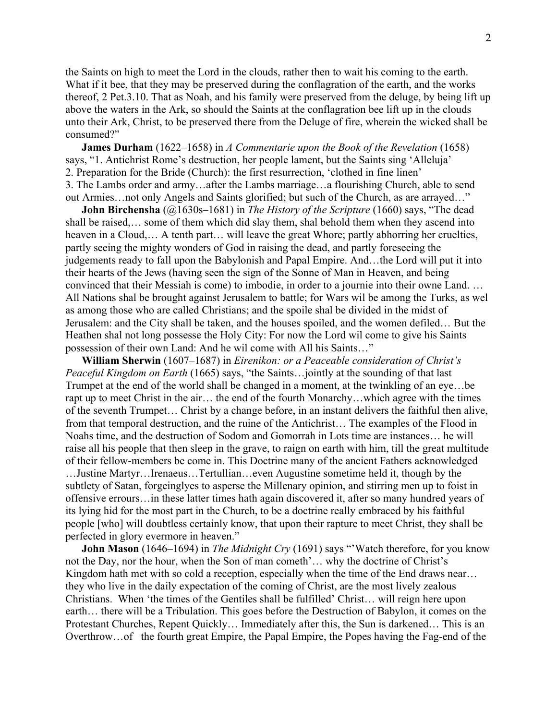the Saints on high to meet the Lord in the clouds, rather then to wait his coming to the earth. What if it bee, that they may be preserved during the conflagration of the earth, and the works thereof, 2 Pet.3.10. That as Noah, and his family were preserved from the deluge, by being lift up above the waters in the Ark, so should the Saints at the conflagration bee lift up in the clouds unto their Ark, Christ, to be preserved there from the Deluge of fire, wherein the wicked shall be consumed?"

**James Durham** (1622–1658) in *A Commentarie upon the Book of the Revelation* (1658) says, "1. Antichrist Rome's destruction, her people lament, but the Saints sing 'Alleluja' 2. Preparation for the Bride (Church): the first resurrection, 'clothed in fine linen' 3. The Lambs order and army…after the Lambs marriage…a flourishing Church, able to send out Armies…not only Angels and Saints glorified; but such of the Church, as are arrayed…"

**John Birchensha** (@1630s–1681) in *The History of the Scripture* (1660) says, "The dead shall be raised,… some of them which did slay them, shal behold them when they ascend into heaven in a Cloud,... A tenth part... will leave the great Whore; partly abhorring her cruelties, partly seeing the mighty wonders of God in raising the dead, and partly foreseeing the judgements ready to fall upon the Babylonish and Papal Empire. And…the Lord will put it into their hearts of the Jews (having seen the sign of the Sonne of Man in Heaven, and being convinced that their Messiah is come) to imbodie, in order to a journie into their owne Land. … All Nations shal be brought against Jerusalem to battle; for Wars wil be among the Turks, as wel as among those who are called Christians; and the spoile shal be divided in the midst of Jerusalem: and the City shall be taken, and the houses spoiled, and the women defiled… But the Heathen shal not long possesse the Holy City: For now the Lord wil come to give his Saints possession of their own Land: And he wil come with All his Saints…"

**William Sherwin** (1607–1687) in *Eirenikon: or a Peaceable consideration of Christ's Peaceful Kingdom on Earth* (1665) says, "the Saints…jointly at the sounding of that last Trumpet at the end of the world shall be changed in a moment, at the twinkling of an eye…be rapt up to meet Christ in the air… the end of the fourth Monarchy…which agree with the times of the seventh Trumpet… Christ by a change before, in an instant delivers the faithful then alive, from that temporal destruction, and the ruine of the Antichrist… The examples of the Flood in Noahs time, and the destruction of Sodom and Gomorrah in Lots time are instances… he will raise all his people that then sleep in the grave, to raign on earth with him, till the great multitude of their fellow-members be come in. This Doctrine many of the ancient Fathers acknowledged …Justine Martyr…Irenaeus…Tertullian…even Augustine sometime held it, though by the subtlety of Satan, forgeinglyes to asperse the Millenary opinion, and stirring men up to foist in offensive errours…in these latter times hath again discovered it, after so many hundred years of its lying hid for the most part in the Church, to be a doctrine really embraced by his faithful people [who] will doubtless certainly know, that upon their rapture to meet Christ, they shall be perfected in glory evermore in heaven."

**John Mason** (1646–1694) in *The Midnight Cry* (1691) says "Watch therefore, for you know not the Day, nor the hour, when the Son of man cometh'… why the doctrine of Christ's Kingdom hath met with so cold a reception, especially when the time of the End draws near... they who live in the daily expectation of the coming of Christ, are the most lively zealous Christians. When 'the times of the Gentiles shall be fulfilled' Christ… will reign here upon earth… there will be a Tribulation. This goes before the Destruction of Babylon, it comes on the Protestant Churches, Repent Quickly… Immediately after this, the Sun is darkened… This is an Overthrow…of the fourth great Empire, the Papal Empire, the Popes having the Fag-end of the